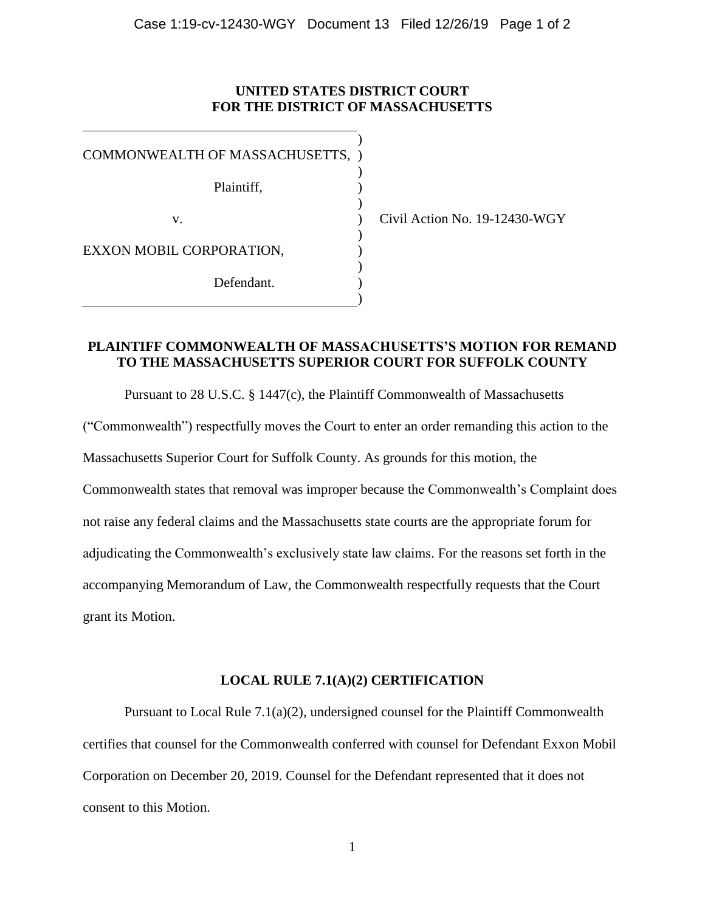## **UNITED STATES DISTRICT COURT FOR THE DISTRICT OF MASSACHUSETTS**

)

) ) )

COMMONWEALTH OF MASSACHUSETTS, ) Plaintiff, v. EXXON MOBIL CORPORATION, Defendant. ) ) ) ) ) )

Civil Action No. 19-12430-WGY

## **PLAINTIFF COMMONWEALTH OF MASSACHUSETTS'S MOTION FOR REMAND TO THE MASSACHUSETTS SUPERIOR COURT FOR SUFFOLK COUNTY**

Pursuant to 28 U.S.C. § 1447(c), the Plaintiff Commonwealth of Massachusetts ("Commonwealth") respectfully moves the Court to enter an order remanding this action to the Massachusetts Superior Court for Suffolk County. As grounds for this motion, the Commonwealth states that removal was improper because the Commonwealth's Complaint does not raise any federal claims and the Massachusetts state courts are the appropriate forum for adjudicating the Commonwealth's exclusively state law claims. For the reasons set forth in the accompanying Memorandum of Law, the Commonwealth respectfully requests that the Court grant its Motion.

## **LOCAL RULE 7.1(A)(2) CERTIFICATION**

Pursuant to Local Rule 7.1(a)(2), undersigned counsel for the Plaintiff Commonwealth certifies that counsel for the Commonwealth conferred with counsel for Defendant Exxon Mobil Corporation on December 20, 2019. Counsel for the Defendant represented that it does not consent to this Motion.